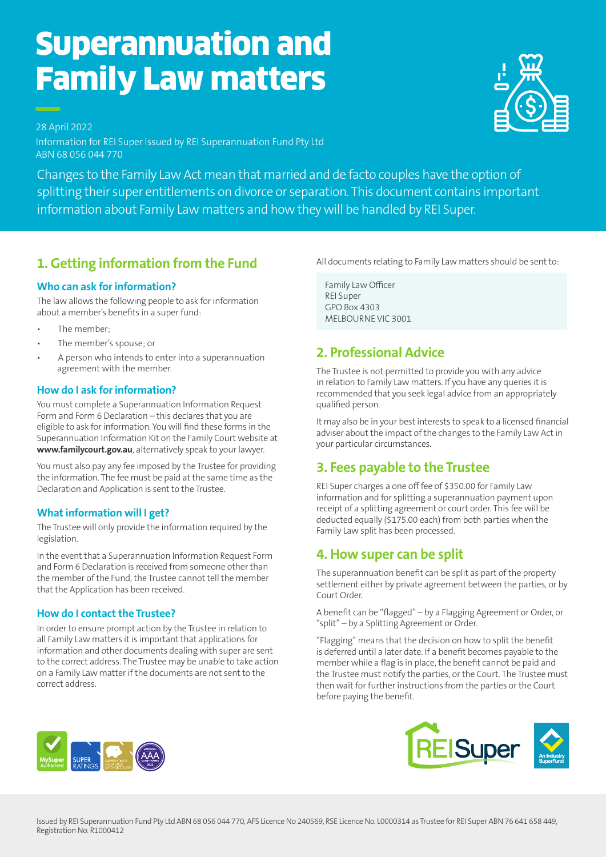# Superannuation and Family Law matters



28 April 2022 Information for REI Super Issued by REI Superannuation Fund Pty Ltd ABN 68 056 044 770

Changes to the Family Law Act mean that married and de facto couples have the option of splitting their super entitlements on divorce or separation. This document contains important information about Family Law matters and how they will be handled by REI Super.

# **1. Getting information from the Fund**

### **Who can ask for information?**

The law allows the following people to ask for information about a member's benefits in a super fund:

- The member-
- The member's spouse; or
- A person who intends to enter into a superannuation agreement with the member.

#### **How do I ask for information?**

You must complete a Superannuation Information Request Form and Form 6 Declaration – this declares that you are eligible to ask for information. You will find these forms in the Superannuation Information Kit on the Family Court website at **www.familycourt.gov.au**, alternatively speak to your lawyer.

You must also pay any fee imposed by the Trustee for providing the information. The fee must be paid at the same time as the Declaration and Application is sent to the Trustee.

#### **What information will I get?**

The Trustee will only provide the information required by the legislation.

In the event that a Superannuation Information Request Form and Form 6 Declaration is received from someone other than the member of the Fund, the Trustee cannot tell the member that the Application has been received.

#### **How do I contact the Trustee?**

In order to ensure prompt action by the Trustee in relation to all Family Law matters it is important that applications for information and other documents dealing with super are sent to the correct address. The Trustee may be unable to take action on a Family Law matter if the documents are not sent to the correct address.

All documents relating to Family Law matters should be sent to:

 $\Gamma$ Family Law Officer GPO Box 4303 GPO Box 4303 MELBOURNE VIC 3001 MELBOURNE VIC 3001REI Super

# **2. Professional Advice**

The Trustee is not permitted to provide you with any advice in relation to Family Law matters. If you have any queries it is recommended that you seek legal advice from an appropriately qualified person.

It may also be in your best interests to speak to a licensed financial adviser about the impact of the changes to the Family Law Act in your particular circumstances.

## **3. Fees payable to the Trustee**

REI Super charges a one off fee of \$350.00 for Family Law information and for splitting a superannuation payment upon receipt of a splitting agreement or court order. This fee will be deducted equally (\$175.00 each) from both parties when the Family Law split has been processed.

## **4. How super can be split**

The superannuation benefit can be split as part of the property settlement either by private agreement between the parties, or by Court Order.

A benefit can be "flagged" – by a Flagging Agreement or Order, or "split" – by a Splitting Agreement or Order.

"Flagging" means that the decision on how to split the benefit is deferred until a later date. If a benefit becomes payable to the member while a flag is in place, the benefit cannot be paid and the Trustee must notify the parties, or the Court. The Trustee must then wait for further instructions from the parties or the Court before paying the benefit.